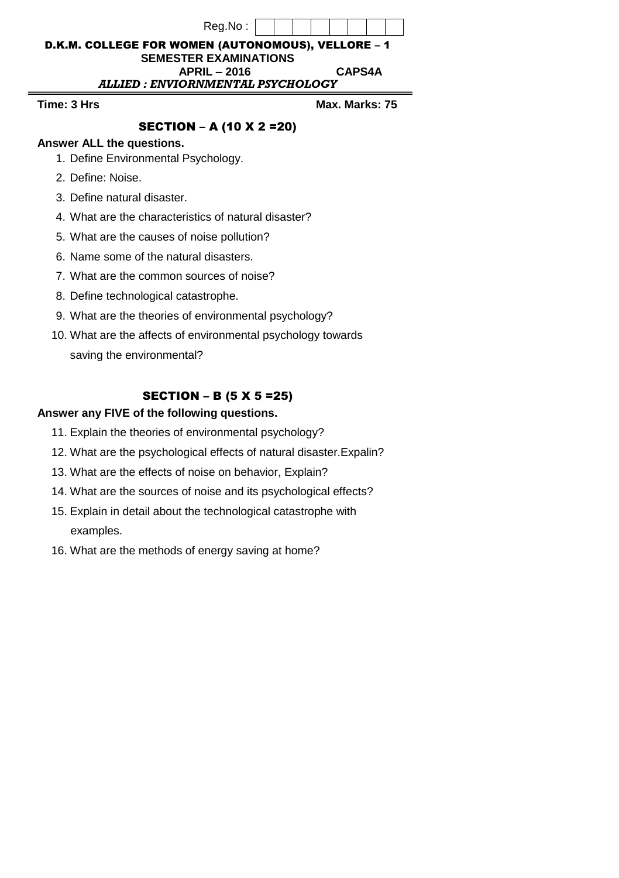| Reg.No:                                            |               |                |  |  |
|----------------------------------------------------|---------------|----------------|--|--|
| D.K.M. COLLEGE FOR WOMEN (AUTONOMOUS), VELLORE - 1 |               |                |  |  |
| <b>SEMESTER EXAMINATIONS</b>                       |               |                |  |  |
| <b>APRIL - 2016</b>                                | <b>CAPS4A</b> |                |  |  |
| ALLIED : ENVIORNMENTAL PSYCHOLOGY                  |               |                |  |  |
| Time: 3 Hrs                                        |               | Max. Marks: 75 |  |  |
| <b>SECTION - A (10 X 2 = 20)</b>                   |               |                |  |  |
| Anewar ALL the questions                           |               |                |  |  |

- **Answer ALL the questions.**
- 1. Define Environmental Psychology.
- 2. Define: Noise.
- 3. Define natural disaster.
- 4. What are the characteristics of natural disaster?
- 5. What are the causes of noise pollution?
- 6. Name some of the natural disasters.
- 7. What are the common sources of noise?
- 8. Define technological catastrophe.
- 9. What are the theories of environmental psychology?
- 10. What are the affects of environmental psychology towards saving the environmental?

## SECTION – B (5 X 5 =25)

## **Answer any FIVE of the following questions.**

- 11. Explain the theories of environmental psychology?
- 12. What are the psychological effects of natural disaster.Expalin?
- 13. What are the effects of noise on behavior, Explain?
- 14. What are the sources of noise and its psychological effects?
- 15. Explain in detail about the technological catastrophe with examples.
- 16. What are the methods of energy saving at home?